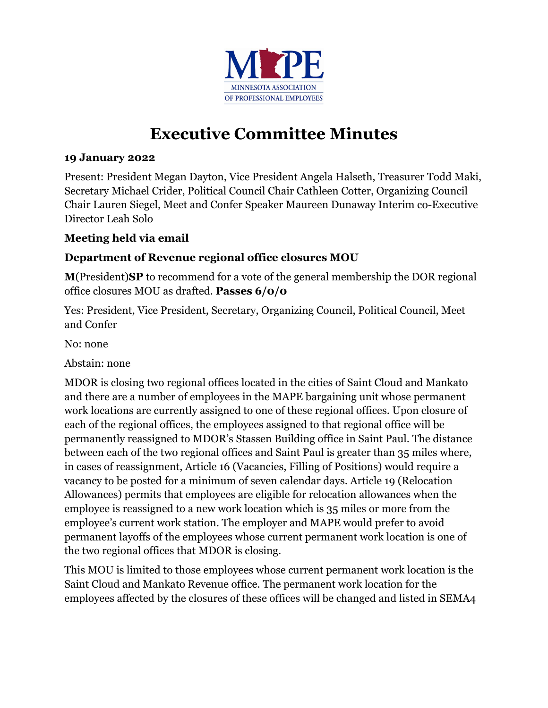

## **Executive Committee Minutes**

## **19 January 2022**

Present: President Megan Dayton, Vice President Angela Halseth, Treasurer Todd Maki, Secretary Michael Crider, Political Council Chair Cathleen Cotter, Organizing Council Chair Lauren Siegel, Meet and Confer Speaker Maureen Dunaway Interim co-Executive Director Leah Solo

## **Meeting held via email**

## **Department of Revenue regional office closures MOU**

**M**(President)**SP** to recommend for a vote of the general membership the DOR regional office closures MOU as drafted. **Passes 6/0/0**

Yes: President, Vice President, Secretary, Organizing Council, Political Council, Meet and Confer

No: none

Abstain: none

MDOR is closing two regional offices located in the cities of Saint Cloud and Mankato and there are a number of employees in the MAPE bargaining unit whose permanent work locations are currently assigned to one of these regional offices. Upon closure of each of the regional offices, the employees assigned to that regional office will be permanently reassigned to MDOR's Stassen Building office in Saint Paul. The distance between each of the two regional offices and Saint Paul is greater than 35 miles where, in cases of reassignment, Article 16 (Vacancies, Filling of Positions) would require a vacancy to be posted for a minimum of seven calendar days. Article 19 (Relocation Allowances) permits that employees are eligible for relocation allowances when the employee is reassigned to a new work location which is 35 miles or more from the employee's current work station. The employer and MAPE would prefer to avoid permanent layoffs of the employees whose current permanent work location is one of the two regional offices that MDOR is closing.

This MOU is limited to those employees whose current permanent work location is the Saint Cloud and Mankato Revenue office. The permanent work location for the employees affected by the closures of these offices will be changed and listed in SEMA4